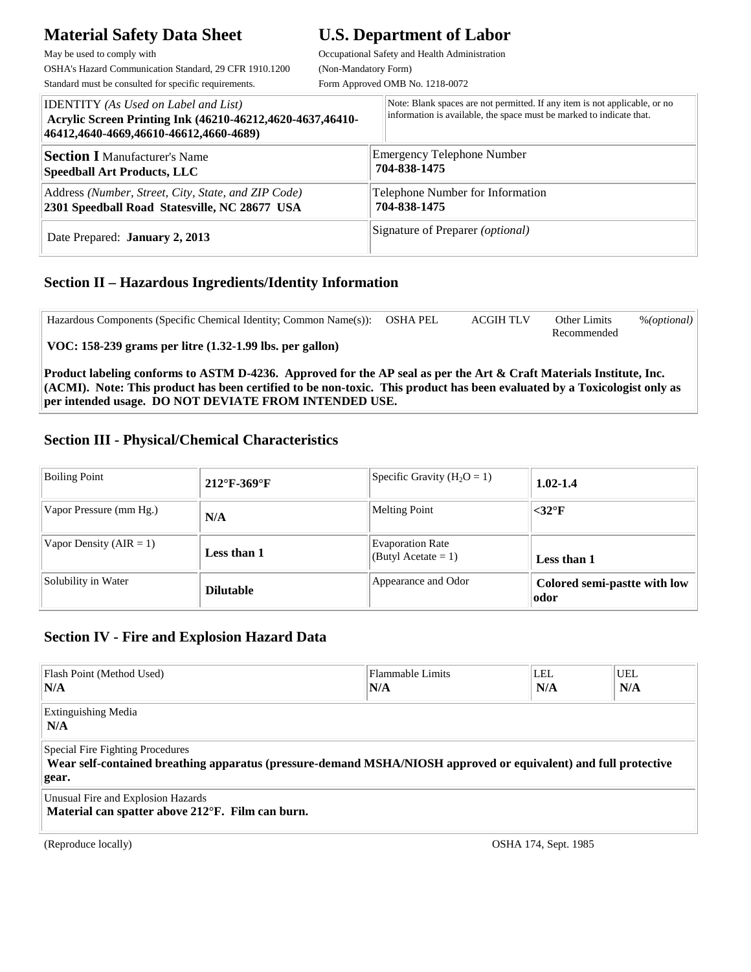# **Material Safety Data Sheet U.S. Department of Labor**

May be used to comply with  $Occupational$  Safety and Health Administration OSHA's Hazard Communication Standard, 29 CFR 1910.1200 (Non-Mandatory Form)

Standard must be consulted for specific requirements. Form Approved OMB No. 1218-0072

| <b>IDENTITY</b> (As Used on Label and List)<br>Acrylic Screen Printing Ink (46210-46212,4620-4637,46410-<br>46412,4640-4669,46610-46612,4660-4689) | Note: Blank spaces are not permitted. If any item is not applicable, or no<br>information is available, the space must be marked to indicate that. |
|----------------------------------------------------------------------------------------------------------------------------------------------------|----------------------------------------------------------------------------------------------------------------------------------------------------|
| <b>Section I Manufacturer's Name</b>                                                                                                               | <b>Emergency Telephone Number</b>                                                                                                                  |
| <b>Speedball Art Products, LLC</b>                                                                                                                 | 704-838-1475                                                                                                                                       |
| Address (Number, Street, City, State, and ZIP Code)                                                                                                | Telephone Number for Information                                                                                                                   |
| 2301 Speedball Road Statesville, NC 28677 USA                                                                                                      | 704-838-1475                                                                                                                                       |
| Date Prepared: <b>January 2, 2013</b>                                                                                                              | Signature of Preparer ( <i>optional</i> )                                                                                                          |

### **Section II – Hazardous Ingredients/Identity Information**

| Hazardous Components (Specific Chemical Identity; Common Name(s)):                                                           | OSHA PEL | <b>ACGIH TLV</b> | Other Limits | % (optional) |
|------------------------------------------------------------------------------------------------------------------------------|----------|------------------|--------------|--------------|
|                                                                                                                              |          |                  | Recommended  |              |
| $\vert$ VOC: 158-239 grams per litre (1.32-1.99 lbs. per gallon)                                                             |          |                  |              |              |
|                                                                                                                              |          |                  |              |              |
| Product labeling conforms to ASTM D-4236. Approved for the AP seal as per the Art & Craft Materials Institute, Inc.          |          |                  |              |              |
| $ $ (ACMI). Note: This product has been certified to be non-toxic. This product has been evaluated by a Toxicologist only as |          |                  |              |              |
| per intended usage. DO NOT DEVIATE FROM INTENDED USE.                                                                        |          |                  |              |              |

### **Section III - Physical/Chemical Characteristics**

| <b>Boiling Point</b>        | $212^{\circ}$ F-369 $^{\circ}$ F | Specific Gravity $(H2O = 1)$                   | $1.02 - 1.4$                         |
|-----------------------------|----------------------------------|------------------------------------------------|--------------------------------------|
| Vapor Pressure (mm Hg.)     | N/A                              | <b>Melting Point</b>                           | $<$ 32 $\rm{°F}$                     |
| Vapor Density ( $AIR = 1$ ) | Less than 1                      | <b>Evaporation Rate</b><br>(Butyl Acetate = 1) | Less than 1                          |
| Solubility in Water         | <b>Dilutable</b>                 | Appearance and Odor                            | Colored semi-pastte with low<br>odor |

## **Section IV - Fire and Explosion Hazard Data**

| Flash Point (Method Used)<br>N/A                                                                                                                             | Flammable Limits<br>N/A | LEL.<br>N/A | UEL<br>N/A |  |
|--------------------------------------------------------------------------------------------------------------------------------------------------------------|-------------------------|-------------|------------|--|
| <b>Extinguishing Media</b><br>N/A                                                                                                                            |                         |             |            |  |
| Special Fire Fighting Procedures<br>Wear self-contained breathing apparatus (pressure-demand MSHA/NIOSH approved or equivalent) and full protective<br>gear. |                         |             |            |  |
| Unusual Fire and Explosion Hazards<br>Material can spatter above 212°F. Film can burn.                                                                       |                         |             |            |  |